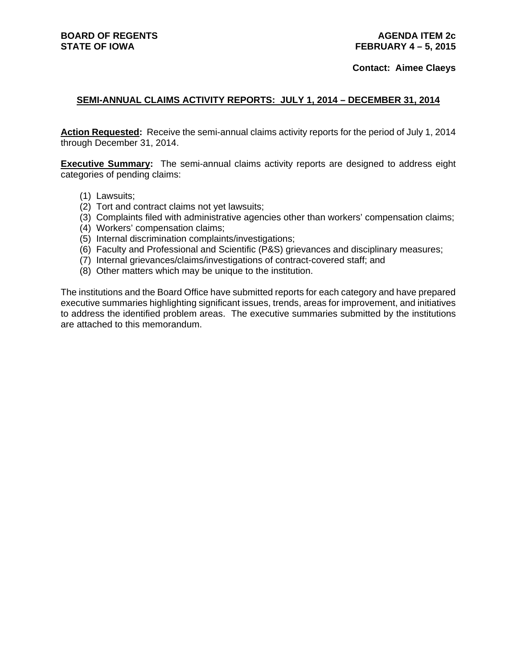#### **Contact: Aimee Claeys**

### **SEMI-ANNUAL CLAIMS ACTIVITY REPORTS: JULY 1, 2014 – DECEMBER 31, 2014**

**Action Requested:** Receive the semi-annual claims activity reports for the period of July 1, 2014 through December 31, 2014.

**Executive Summary:** The semi-annual claims activity reports are designed to address eight categories of pending claims:

- (1) Lawsuits;
- (2) Tort and contract claims not yet lawsuits;
- (3) Complaints filed with administrative agencies other than workers' compensation claims;
- (4) Workers' compensation claims;
- (5) Internal discrimination complaints/investigations;
- (6) Faculty and Professional and Scientific (P&S) grievances and disciplinary measures;
- (7) Internal grievances/claims/investigations of contract-covered staff; and
- (8) Other matters which may be unique to the institution.

The institutions and the Board Office have submitted reports for each category and have prepared executive summaries highlighting significant issues, trends, areas for improvement, and initiatives to address the identified problem areas. The executive summaries submitted by the institutions are attached to this memorandum.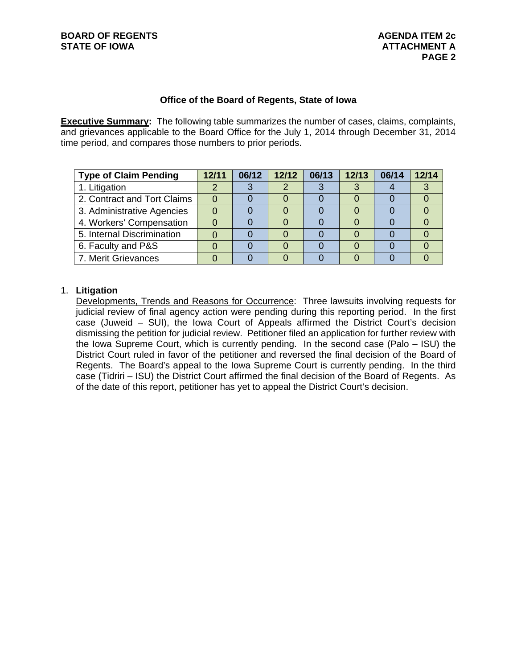### **Office of the Board of Regents, State of Iowa**

**Executive Summary:** The following table summarizes the number of cases, claims, complaints, and grievances applicable to the Board Office for the July 1, 2014 through December 31, 2014 time period, and compares those numbers to prior periods.

| <b>Type of Claim Pending</b> | 12/11 | 06/12 | 12/12 | 06/13 | 12/13 | 06/14 | 12/14 |
|------------------------------|-------|-------|-------|-------|-------|-------|-------|
| 1. Litigation                |       |       |       |       |       |       |       |
| 2. Contract and Tort Claims  |       |       |       |       |       |       |       |
| 3. Administrative Agencies   |       |       |       |       |       |       |       |
| 4. Workers' Compensation     |       |       |       |       |       |       |       |
| 5. Internal Discrimination   |       |       |       |       |       |       |       |
| 6. Faculty and P&S           |       |       |       |       |       |       |       |
| 7. Merit Grievances          |       |       |       |       |       |       |       |

## 1. **Litigation**

Developments, Trends and Reasons for Occurrence: Three lawsuits involving requests for judicial review of final agency action were pending during this reporting period. In the first case (Juweid – SUI), the Iowa Court of Appeals affirmed the District Court's decision dismissing the petition for judicial review. Petitioner filed an application for further review with the Iowa Supreme Court, which is currently pending. In the second case (Palo – ISU) the District Court ruled in favor of the petitioner and reversed the final decision of the Board of Regents. The Board's appeal to the Iowa Supreme Court is currently pending. In the third case (Tidriri – ISU) the District Court affirmed the final decision of the Board of Regents. As of the date of this report, petitioner has yet to appeal the District Court's decision.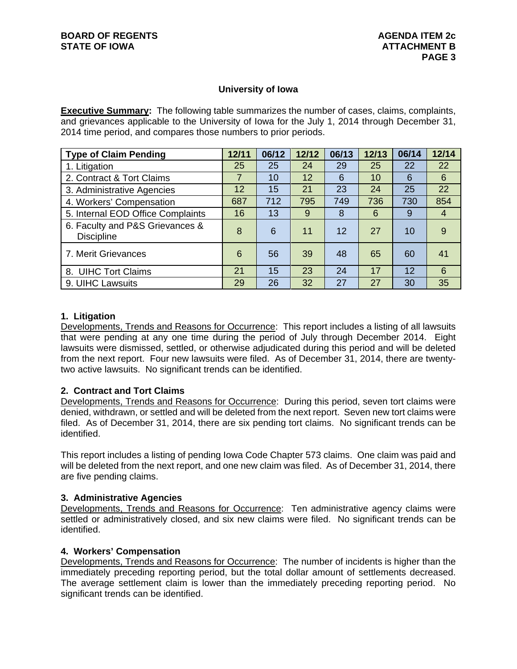### **University of Iowa**

**Executive Summary:** The following table summarizes the number of cases, claims, complaints, and grievances applicable to the University of Iowa for the July 1, 2014 through December 31, 2014 time period, and compares those numbers to prior periods.

| <b>Type of Claim Pending</b>                         | 12/11 | 06/12 | 12/12 | 06/13 | 12/13 | 06/14           | 12/14 |
|------------------------------------------------------|-------|-------|-------|-------|-------|-----------------|-------|
| 1. Litigation                                        | 25    | 25    | 24    | 29    | 25    | 22              | 22    |
| 2. Contract & Tort Claims                            | 7     | 10    | 12    | 6     | 10    | 6               | 6     |
| 3. Administrative Agencies                           | 12    | 15    | 21    | 23    | 24    | 25              | 22    |
| 4. Workers' Compensation                             | 687   | 712   | 795   | 749   | 736   | 730             | 854   |
| 5. Internal EOD Office Complaints                    | 16    | 13    | 9     | 8     | 6     | 9               | 4     |
| 6. Faculty and P&S Grievances &<br><b>Discipline</b> | 8     | 6     | 11    | 12    | 27    | 10              | 9     |
| 7. Merit Grievances                                  | 6     | 56    | 39    | 48    | 65    | 60              | 41    |
| 8. UIHC Tort Claims                                  | 21    | 15    | 23    | 24    | 17    | 12 <sup>2</sup> | 6     |
| 9. UIHC Lawsuits                                     | 29    | 26    | 32    | 27    | 27    | 30              | 35    |

### **1. Litigation**

Developments, Trends and Reasons for Occurrence: This report includes a listing of all lawsuits that were pending at any one time during the period of July through December 2014. Eight lawsuits were dismissed, settled, or otherwise adjudicated during this period and will be deleted from the next report. Four new lawsuits were filed. As of December 31, 2014, there are twentytwo active lawsuits. No significant trends can be identified.

### **2. Contract and Tort Claims**

Developments, Trends and Reasons for Occurrence: During this period, seven tort claims were denied, withdrawn, or settled and will be deleted from the next report. Seven new tort claims were filed. As of December 31, 2014, there are six pending tort claims. No significant trends can be identified.

This report includes a listing of pending Iowa Code Chapter 573 claims. One claim was paid and will be deleted from the next report, and one new claim was filed. As of December 31, 2014, there are five pending claims.

#### **3. Administrative Agencies**

Developments, Trends and Reasons for Occurrence: Ten administrative agency claims were settled or administratively closed, and six new claims were filed. No significant trends can be identified.

#### **4. Workers' Compensation**

Developments, Trends and Reasons for Occurrence: The number of incidents is higher than the immediately preceding reporting period, but the total dollar amount of settlements decreased. The average settlement claim is lower than the immediately preceding reporting period. No significant trends can be identified.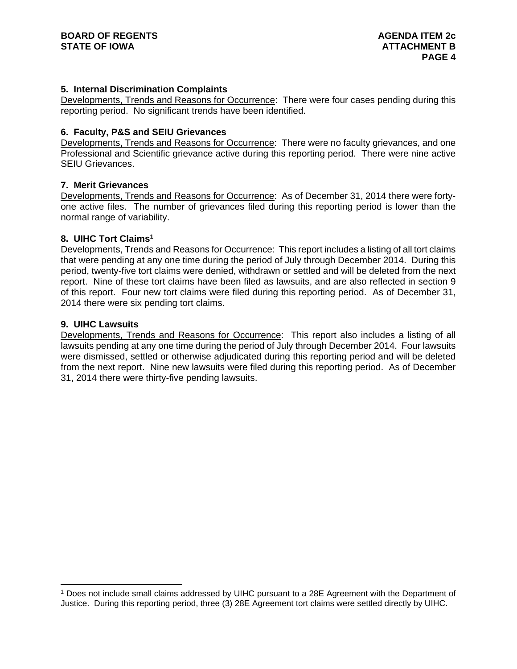### **5. Internal Discrimination Complaints**

Developments, Trends and Reasons for Occurrence: There were four cases pending during this reporting period. No significant trends have been identified.

#### **6. Faculty, P&S and SEIU Grievances**

Developments, Trends and Reasons for Occurrence: There were no faculty grievances, and one Professional and Scientific grievance active during this reporting period. There were nine active SEIU Grievances.

#### **7. Merit Grievances**

Developments, Trends and Reasons for Occurrence: As of December 31, 2014 there were fortyone active files. The number of grievances filed during this reporting period is lower than the normal range of variability.

#### **8. UIHC Tort Claims1**

Developments, Trends and Reasons for Occurrence: This report includes a listing of all tort claims that were pending at any one time during the period of July through December 2014. During this period, twenty-five tort claims were denied, withdrawn or settled and will be deleted from the next report. Nine of these tort claims have been filed as lawsuits, and are also reflected in section 9 of this report. Four new tort claims were filed during this reporting period. As of December 31, 2014 there were six pending tort claims.

#### **9. UIHC Lawsuits**

Developments, Trends and Reasons for Occurrence: This report also includes a listing of all lawsuits pending at any one time during the period of July through December 2014. Four lawsuits were dismissed, settled or otherwise adjudicated during this reporting period and will be deleted from the next report. Nine new lawsuits were filed during this reporting period. As of December 31, 2014 there were thirty-five pending lawsuits.

<sup>1</sup> Does not include small claims addressed by UIHC pursuant to a 28E Agreement with the Department of Justice. During this reporting period, three (3) 28E Agreement tort claims were settled directly by UIHC.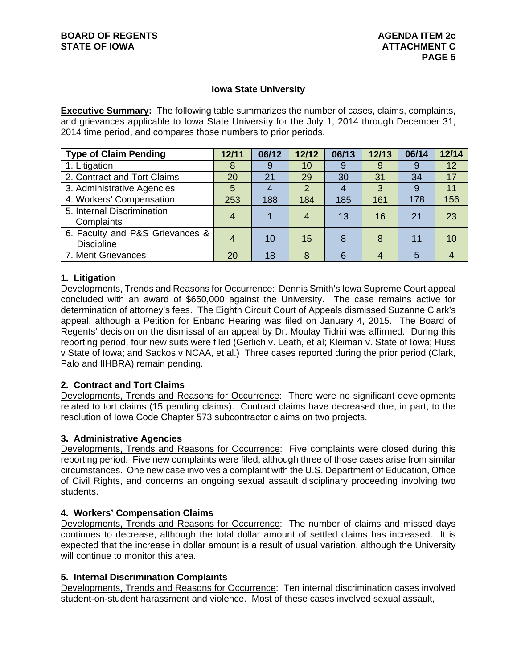### **Iowa State University**

**Executive Summary:** The following table summarizes the number of cases, claims, complaints, and grievances applicable to Iowa State University for the July 1, 2014 through December 31, 2014 time period, and compares those numbers to prior periods.

| <b>Type of Claim Pending</b>                         | 12/11 | 06/12 | 12/12          | 06/13 | 12/13 | 06/14 | 12/14 |
|------------------------------------------------------|-------|-------|----------------|-------|-------|-------|-------|
| 1. Litigation                                        | 8     | 9     | 10             | 9     | 9     | 9     | 12    |
| 2. Contract and Tort Claims                          | 20    | 21    | 29             | 30    | 31    | 34    | 17    |
| 3. Administrative Agencies                           | 5     |       | $\overline{2}$ |       | 3     | 9     | 11    |
| 4. Workers' Compensation                             | 253   | 188   | 184            | 185   | 161   | 178   | 156   |
| 5. Internal Discrimination<br>Complaints             | 4     |       | 4              | 13    | 16    | 21    | 23    |
| 6. Faculty and P&S Grievances &<br><b>Discipline</b> | 4     | 10    | 15             | 8     | 8     | 11    | 10    |
| 7. Merit Grievances                                  | 20    | 18    | 8              | 6     |       |       |       |

### **1. Litigation**

Developments, Trends and Reasons for Occurrence: Dennis Smith's Iowa Supreme Court appeal concluded with an award of \$650,000 against the University. The case remains active for determination of attorney's fees. The Eighth Circuit Court of Appeals dismissed Suzanne Clark's appeal, although a Petition for Enbanc Hearing was filed on January 4, 2015. The Board of Regents' decision on the dismissal of an appeal by Dr. Moulay Tidriri was affirmed. During this reporting period, four new suits were filed (Gerlich v. Leath, et al; Kleiman v. State of Iowa; Huss v State of Iowa; and Sackos v NCAA, et al.) Three cases reported during the prior period (Clark, Palo and IIHBRA) remain pending.

### **2. Contract and Tort Claims**

Developments, Trends and Reasons for Occurrence: There were no significant developments related to tort claims (15 pending claims). Contract claims have decreased due, in part, to the resolution of Iowa Code Chapter 573 subcontractor claims on two projects.

### **3. Administrative Agencies**

Developments, Trends and Reasons for Occurrence: Five complaints were closed during this reporting period. Five new complaints were filed, although three of those cases arise from similar circumstances. One new case involves a complaint with the U.S. Department of Education, Office of Civil Rights, and concerns an ongoing sexual assault disciplinary proceeding involving two students.

### **4. Workers' Compensation Claims**

Developments, Trends and Reasons for Occurrence: The number of claims and missed days continues to decrease, although the total dollar amount of settled claims has increased. It is expected that the increase in dollar amount is a result of usual variation, although the University will continue to monitor this area.

#### **5. Internal Discrimination Complaints**

Developments, Trends and Reasons for Occurrence: Ten internal discrimination cases involved student-on-student harassment and violence. Most of these cases involved sexual assault,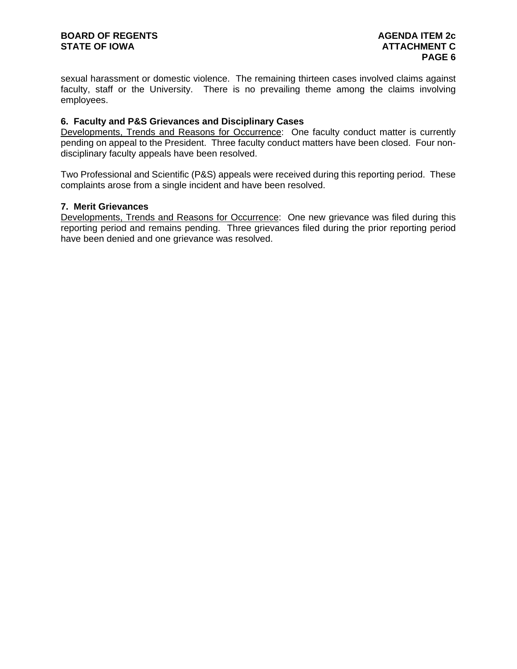sexual harassment or domestic violence. The remaining thirteen cases involved claims against faculty, staff or the University. There is no prevailing theme among the claims involving employees.

### **6. Faculty and P&S Grievances and Disciplinary Cases**

Developments, Trends and Reasons for Occurrence: One faculty conduct matter is currently pending on appeal to the President. Three faculty conduct matters have been closed. Four nondisciplinary faculty appeals have been resolved.

Two Professional and Scientific (P&S) appeals were received during this reporting period. These complaints arose from a single incident and have been resolved.

### **7. Merit Grievances**

Developments, Trends and Reasons for Occurrence: One new grievance was filed during this reporting period and remains pending. Three grievances filed during the prior reporting period have been denied and one grievance was resolved.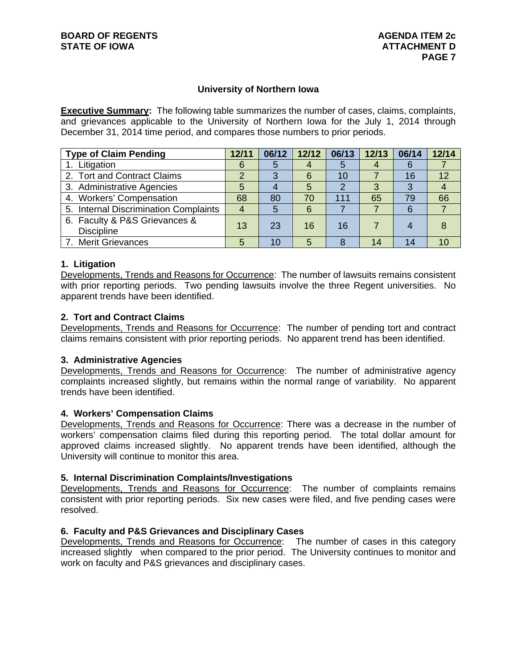### **University of Northern Iowa**

**Executive Summary:** The following table summarizes the number of cases, claims, complaints, and grievances applicable to the University of Northern Iowa for the July 1, 2014 through December 31, 2014 time period, and compares those numbers to prior periods.

| <b>Type of Claim Pending</b>                       | 12/11 | 06/12 | 12/12 | 06/13 | 12/13 | 06/14 | 12/14 |
|----------------------------------------------------|-------|-------|-------|-------|-------|-------|-------|
| 1. Litigation                                      | 6     |       |       | 5     |       |       |       |
| 2. Tort and Contract Claims                        |       | ◠     | 6     | 10    |       | 16    | 12    |
| 3. Administrative Agencies                         | 5     |       | 5     |       |       | 3     |       |
| 4. Workers' Compensation                           | 68    | 80    | 70    | 111   | 65    | 79    | 66    |
| 5. Internal Discrimination Complaints              |       |       | 6     |       |       | 6     |       |
| 6. Faculty & P&S Grievances &<br><b>Discipline</b> | 13    | 23    | 16    | 16    |       |       | 8     |
| 7. Merit Grievances                                | 5     | 10    | 5     | 8     | 14    | 14    | 10    |

#### **1. Litigation**

Developments, Trends and Reasons for Occurrence: The number of lawsuits remains consistent with prior reporting periods. Two pending lawsuits involve the three Regent universities. No apparent trends have been identified.

### **2. Tort and Contract Claims**

Developments, Trends and Reasons for Occurrence: The number of pending tort and contract claims remains consistent with prior reporting periods. No apparent trend has been identified.

#### **3. Administrative Agencies**

Developments, Trends and Reasons for Occurrence: The number of administrative agency complaints increased slightly, but remains within the normal range of variability. No apparent trends have been identified.

#### **4. Workers' Compensation Claims**

Developments, Trends and Reasons for Occurrence: There was a decrease in the number of workers' compensation claims filed during this reporting period. The total dollar amount for approved claims increased slightly. No apparent trends have been identified, although the University will continue to monitor this area.

#### **5. Internal Discrimination Complaints/Investigations**

Developments, Trends and Reasons for Occurrence: The number of complaints remains consistent with prior reporting periods. Six new cases were filed, and five pending cases were resolved.

#### **6. Faculty and P&S Grievances and Disciplinary Cases**

Developments, Trends and Reasons for Occurrence: The number of cases in this category increased slightly when compared to the prior period. The University continues to monitor and work on faculty and P&S grievances and disciplinary cases.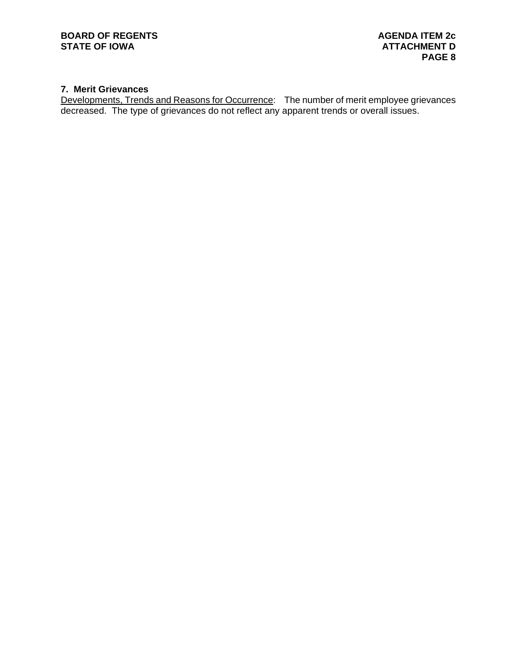# **7. Merit Grievances**

Developments, Trends and Reasons for Occurrence: The number of merit employee grievances decreased. The type of grievances do not reflect any apparent trends or overall issues.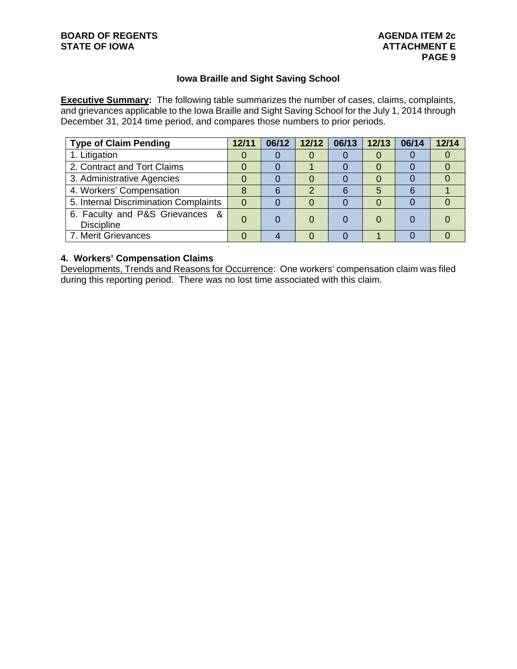# **Iowa Braille and Sight Saving School**

**Executive Summary:** The following table summarizes the number of cases, claims, complaints, and grievances applicable to the Iowa Braille and Sight Saving School for the July 1, 2014 through December 31, 2014 time period, and compares those numbers to prior periods.

| <b>Type of Claim Pending</b>                         | 12/11 | 06/12 |   | 12/12   06/13   12/13 |   | 06/14 | 12/14 |
|------------------------------------------------------|-------|-------|---|-----------------------|---|-------|-------|
| 1. Litigation                                        |       |       |   |                       |   |       |       |
| 2. Contract and Tort Claims                          |       |       |   |                       |   |       |       |
| 3. Administrative Agencies                           |       |       |   |                       |   |       |       |
| 4. Workers' Compensation                             |       |       | າ | 6                     | 5 | 6     |       |
| 5. Internal Discrimination Complaints                | 0     |       |   |                       |   |       |       |
| 6. Faculty and P&S Grievances &<br><b>Discipline</b> |       |       |   |                       |   |       |       |
| 7. Merit Grievances                                  |       |       |   |                       |   |       |       |

## **4. Workers' Compensation Claims**

Developments, Trends and Reasons for Occurrence: One workers' compensation claim was filed during this reporting period. There was no lost time associated with this claim.